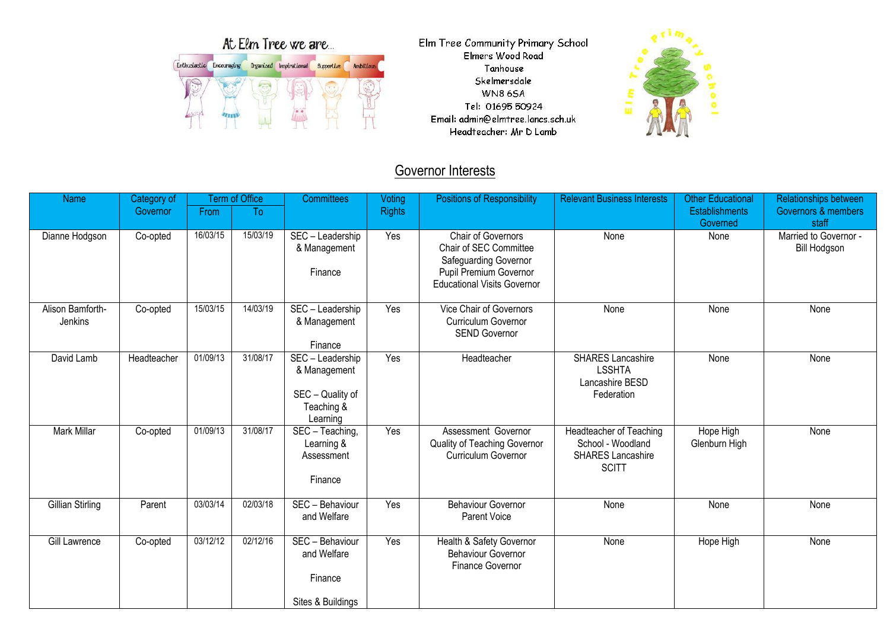| At Elm Tree we are       |  |           |               |            |                  |  |  |  |  |  |
|--------------------------|--|-----------|---------------|------------|------------------|--|--|--|--|--|
| Enthusiastic Encouraging |  | Organised | Inspirational | Supportive | <b>Ambitious</b> |  |  |  |  |  |
|                          |  |           |               |            |                  |  |  |  |  |  |
|                          |  |           |               |            |                  |  |  |  |  |  |

Elm Tree Community Primary School Elmers Wood Road Tanhouse Skelmersdale **WN86SA** Tel: 01695 50924 Email: admin@elmtree.lancs.sch.uk Headteacher: Mr D Lamb



## **Governor Interests**

| <b>Name</b>                 | Category of |          | <b>Term of Office</b> | <b>Committees</b>                                                              | Voting        | <b>Positions of Responsibility</b>                                                                                                           | <b>Relevant Business Interests</b>                                                       | <b>Other Educational</b>          | <b>Relationships between</b>                 |
|-----------------------------|-------------|----------|-----------------------|--------------------------------------------------------------------------------|---------------|----------------------------------------------------------------------------------------------------------------------------------------------|------------------------------------------------------------------------------------------|-----------------------------------|----------------------------------------------|
|                             | Governor    | From     | To                    |                                                                                | <b>Rights</b> |                                                                                                                                              |                                                                                          | <b>Establishments</b><br>Governed | <b>Governors &amp; members</b><br>staff      |
| Dianne Hodgson              | Co-opted    | 16/03/15 | 15/03/19              | SEC - Leadership<br>& Management<br>Finance                                    | Yes           | <b>Chair of Governors</b><br>Chair of SEC Committee<br>Safeguarding Governor<br>Pupil Premium Governor<br><b>Educational Visits Governor</b> | None                                                                                     | None                              | Married to Governor -<br><b>Bill Hodgson</b> |
| Alison Bamforth-<br>Jenkins | Co-opted    | 15/03/15 | 14/03/19              | $\overline{\text{SEC}}$ – Leadership<br>& Management<br>Finance                | Yes           | Vice Chair of Governors<br><b>Curriculum Governor</b><br><b>SEND Governor</b>                                                                | None                                                                                     | None                              | None                                         |
| David Lamb                  | Headteacher | 01/09/13 | 31/08/17              | SEC - Leadership<br>& Management<br>SEC - Quality of<br>Teaching &<br>Learning | Yes           | Headteacher                                                                                                                                  | <b>SHARES Lancashire</b><br><b>LSSHTA</b><br>Lancashire BESD<br>Federation               | None                              | None                                         |
| <b>Mark Millar</b>          | Co-opted    | 01/09/13 | 31/08/17              | SEC - Teaching,<br>Learning &<br>Assessment<br>Finance                         | Yes           | Assessment Governor<br>Quality of Teaching Governor<br>Curriculum Governor                                                                   | Headteacher of Teaching<br>School - Woodland<br><b>SHARES Lancashire</b><br><b>SCITT</b> | Hope High<br>Glenburn High        | None                                         |
| Gillian Stirling            | Parent      | 03/03/14 | 02/03/18              | SEC - Behaviour<br>and Welfare                                                 | Yes           | <b>Behaviour Governor</b><br>Parent Voice                                                                                                    | None                                                                                     | None                              | None                                         |
| Gill Lawrence               | Co-opted    | 03/12/12 | 02/12/16              | SEC - Behaviour<br>and Welfare<br>Finance<br>Sites & Buildings                 | Yes           | Health & Safety Governor<br><b>Behaviour Governor</b><br>Finance Governor                                                                    | None                                                                                     | Hope High                         | None                                         |